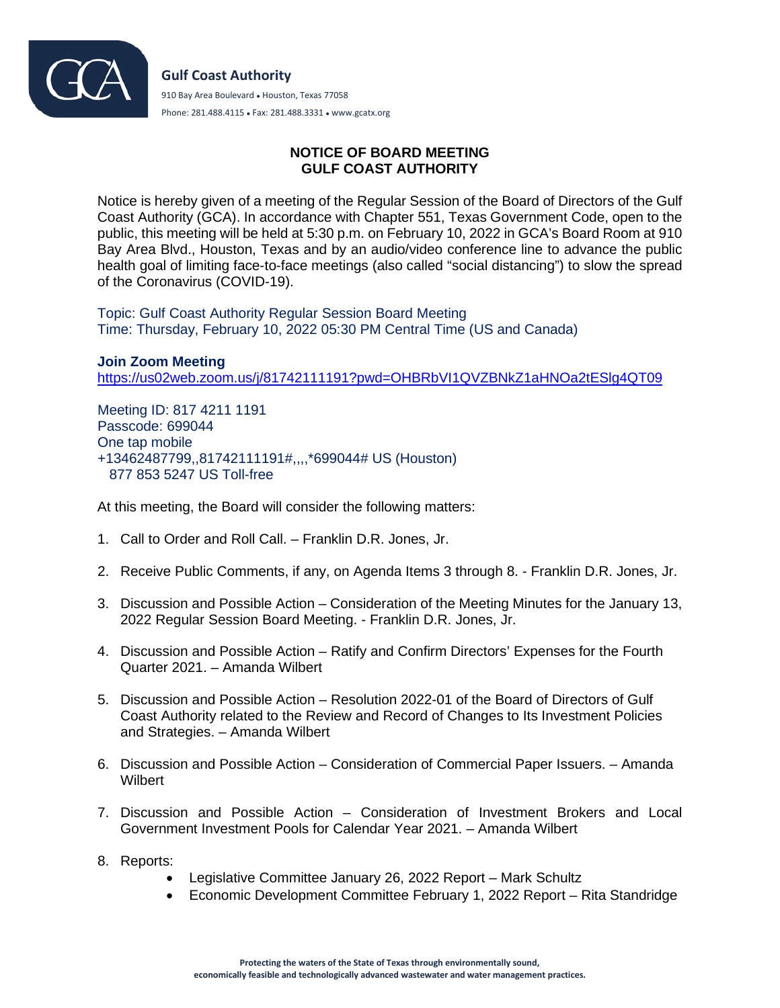

## **NOTICE OF BOARD MEETING GULF COAST AUTHORITY**

Notice is hereby given of a meeting of the Regular Session of the Board of Directors of the Gulf Coast Authority (GCA). In accordance with Chapter 551, Texas Government Code, open to the public, this meeting will be held at 5:30 p.m. on February 10, 2022 in GCA's Board Room at 910 Bay Area Blvd., Houston, Texas and by an audio/video conference line to advance the public health goal of limiting face-to-face meetings (also called "social distancing") to slow the spread of the Coronavirus (COVID-19).

Topic: Gulf Coast Authority Regular Session Board Meeting Time: Thursday, February 10, 2022 05:30 PM Central Time (US and Canada)

**Join Zoom Meeting** <https://us02web.zoom.us/j/81742111191?pwd=OHBRbVI1QVZBNkZ1aHNOa2tESlg4QT09>

Meeting ID: 817 4211 1191 Passcode: 699044 One tap mobile +13462487799,,81742111191#,,,,\*699044# US (Houston) 877 853 5247 US Toll-free

At this meeting, the Board will consider the following matters:

- 1. Call to Order and Roll Call. Franklin D.R. Jones, Jr.
- 2. Receive Public Comments, if any, on Agenda Items 3 through 8. Franklin D.R. Jones, Jr.
- 3. Discussion and Possible Action Consideration of the Meeting Minutes for the January 13, 2022 Regular Session Board Meeting. - Franklin D.R. Jones, Jr.
- 4. Discussion and Possible Action Ratify and Confirm Directors' Expenses for the Fourth Quarter 2021. – Amanda Wilbert
- 5. Discussion and Possible Action Resolution 2022-01 of the Board of Directors of Gulf Coast Authority related to the Review and Record of Changes to Its Investment Policies and Strategies. – Amanda Wilbert
- 6. Discussion and Possible Action Consideration of Commercial Paper Issuers. Amanda Wilbert
- 7. Discussion and Possible Action Consideration of Investment Brokers and Local Government Investment Pools for Calendar Year 2021. – Amanda Wilbert
- 8. Reports:
	- Legislative Committee January 26, 2022 Report Mark Schultz
	- Economic Development Committee February 1, 2022 Report Rita Standridge